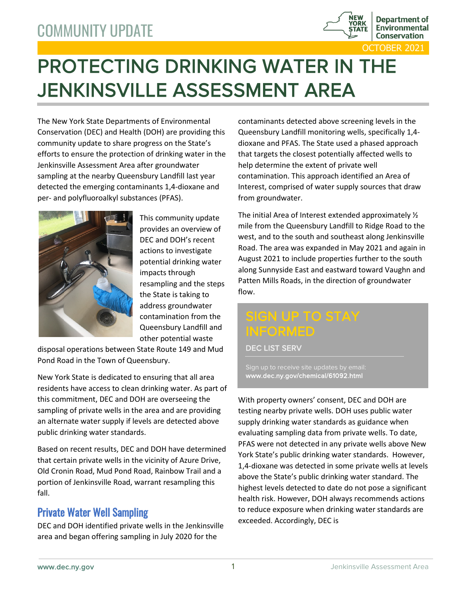

TOBER 2021

# PROTECTING DRINKING WATER IN THE JENKINSVILLE ASSESSMENT AREA

The New York State Departments of Environmental Conservation (DEC) and Health (DOH) are providing this community update to share progress on the State's efforts to ensure the protection of drinking water in the Jenkinsville Assessment Area after groundwater sampling at the nearby Queensbury Landfill last year detected the emerging contaminants 1,4-dioxane and per- and polyfluoroalkyl substances (PFAS).



This community update provides an overview of DEC and DOH's recent actions to investigate potential drinking water impacts through resampling and the steps the State is taking to address groundwater contamination from the Queensbury Landfill and other potential waste

disposal operations between State Route 149 and Mud Pond Road in the Town of Queensbury.

New York State is dedicated to ensuring that all area residents have access to clean drinking water. As part of this commitment, DEC and DOH are overseeing the sampling of private wells in the area and are providing an alternate water supply if levels are detected above public drinking water standards.

Based on recent results, DEC and DOH have determined that certain private wells in the vicinity of Azure Drive, Old Cronin Road, Mud Pond Road, Rainbow Trail and a portion of Jenkinsville Road, warrant resampling this fall.

## Private Water Well Sampling

DEC and DOH identified private wells in the Jenkinsville area and began offering sampling in July 2020 for the

contaminants detected above screening levels in the Queensbury Landfill monitoring wells, specifically 1,4 dioxane and PFAS. The State used a phased approach that targets the closest potentially affected wells to help determine the extent of private well contamination. This approach identified an Area of Interest, comprised of water supply sources that draw from groundwater.

The initial Area of Interest extended approximately ½ mile from the Queensbury Landfill to Ridge Road to the west, and to the south and southeast along Jenkinsville Road. The area was expanded in May 2021 and again in August 2021 to include properties further to the south along Sunnyside East and eastward toward Vaughn and Patten Mills Roads, in the direction of groundwater flow.

## SIGN UP TO STAY INFORMED

DEC LIST SERV

www.dec.ny.gov/chemical/61092.html

With property owners' consent, DEC and DOH are testing nearby private wells. DOH uses public water supply drinking water standards as guidance when evaluating sampling data from private wells. To date, PFAS were not detected in any private wells above New York State's public drinking water standards. However, 1,4-dioxane was detected in some private wells at levels above the State's public drinking water standard. The highest levels detected to date do not pose a significant health risk. However, DOH always recommends actions to reduce exposure when drinking water standards are exceeded. Accordingly, DEC is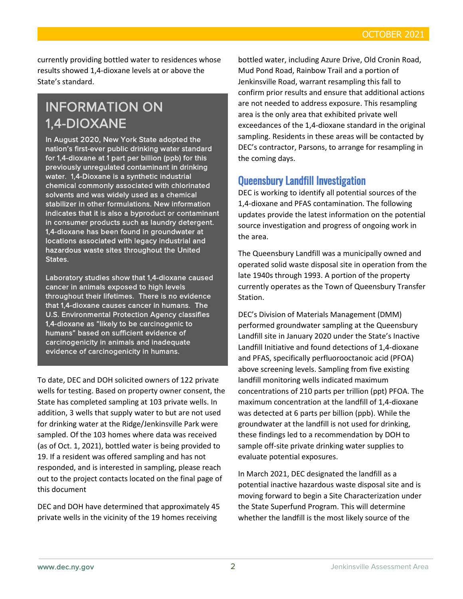currently providing bottled water to residences whose results showed 1,4-dioxane levels at or above the State's standard.

## INFORMATION ON 1,4-DIOXANE

In August 2020, New York State adopted the nation's first-ever public drinking water standard for 1,4-dioxane at 1 part per billion (ppb) for this previously unregulated contaminant in drinking water. 1,4-Dioxane is a synthetic industrial chemical commonly associated with chlorinated solvents and was widely used as a chemical stabilizer in other formulations. New information indicates that it is also a byproduct or contaminant in consumer products such as laundry detergent. 1,4-dioxane has been found in groundwater at locations associated with legacy industrial and hazardous waste sites throughout the United States.

Laboratory studies show that 1,4-dioxane caused cancer in animals exposed to high levels throughout their lifetimes. There is no evidence that 1,4-dioxane causes cancer in humans. The U.S. Environmental Protection Agency classifies 1,4-dioxane as "likely to be carcinogenic to humans" based on sufficient evidence of carcinogenicity in animals and inadequate evidence of carcinogenicity in humans.

To date, DEC and DOH solicited owners of 122 private wells for testing. Based on property owner consent, the State has completed sampling at 103 private wells. In addition, 3 wells that supply water to but are not used for drinking water at the Ridge/Jenkinsville Park were sampled. Of the 103 homes where data was received (as of Oct. 1, 2021), bottled water is being provided to 19. If a resident was offered sampling and has not responded, and is interested in sampling, please reach out to the project contacts located on the final page of this document

DEC and DOH have determined that approximately 45 private wells in the vicinity of the 19 homes receiving

bottled water, including Azure Drive, Old Cronin Road, Mud Pond Road, Rainbow Trail and a portion of Jenkinsville Road, warrant resampling this fall to confirm prior results and ensure that additional actions are not needed to address exposure. This resampling area is the only area that exhibited private well exceedances of the 1,4-dioxane standard in the original sampling. Residents in these areas will be contacted by DEC's contractor, Parsons, to arrange for resampling in the coming days.

### Queensbury Landfill Investigation

DEC is working to identify all potential sources of the 1,4-dioxane and PFAS contamination. The following updates provide the latest information on the potential source investigation and progress of ongoing work in the area.

The Queensbury Landfill was a municipally owned and operated solid waste disposal site in operation from the late 1940s through 1993. A portion of the property currently operates as the Town of Queensbury Transfer Station.

DEC's Division of Materials Management (DMM) performed groundwater sampling at the Queensbury Landfill site in January 2020 under the State's Inactive Landfill Initiative and found detections of 1,4-dioxane and PFAS, specifically perfluorooctanoic acid (PFOA) above screening levels. Sampling from five existing landfill monitoring wells indicated maximum concentrations of 210 parts per trillion (ppt) PFOA. The maximum concentration at the landfill of 1,4-dioxane was detected at 6 parts per billion (ppb). While the groundwater at the landfill is not used for drinking, these findings led to a recommendation by DOH to sample off-site private drinking water supplies to evaluate potential exposures.

In March 2021, DEC designated the landfill as a potential inactive hazardous waste disposal site and is moving forward to begin a Site Characterization under the State Superfund Program. This will determine whether the landfill is the most likely source of the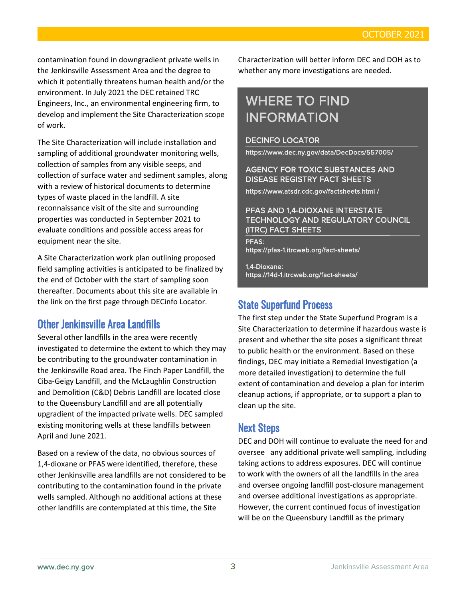contamination found in downgradient private wells in the Jenkinsville Assessment Area and the degree to which it potentially threatens human health and/or the environment. In July 2021 the DEC retained TRC Engineers, Inc., an environmental engineering firm, to develop and implement the Site Characterization scope of work.

The Site Characterization will include installation and sampling of additional groundwater monitoring wells, collection of samples from any visible seeps, and collection of surface water and sediment samples, along with a review of historical documents to determine types of waste placed in the landfill. A site reconnaissance visit of the site and surrounding properties was conducted in September 2021 to evaluate conditions and possible access areas for equipment near the site.

A Site Characterization work plan outlining proposed field sampling activities is anticipated to be finalized by the end of October with the start of sampling soon thereafter. Documents about this site are available in the link on the first page through DECinfo Locator.

## Other Jenkinsville Area Landfills

Several other landfills in the area were recently investigated to determine the extent to which they may be contributing to the groundwater contamination in the Jenkinsville Road area. The Finch Paper Landfill, the Ciba-Geigy Landfill, and the McLaughlin Construction and Demolition (C&D) Debris Landfill are located close to the Queensbury Landfill and are all potentially upgradient of the impacted private wells. DEC sampled existing monitoring wells at these landfills between April and June 2021.

Based on a review of the data, no obvious sources of 1,4-dioxane or PFAS were identified, therefore, these other Jenkinsville area landfills are not considered to be contributing to the contamination found in the private wells sampled. Although no additional actions at these other landfills are contemplated at this time, the Site

Characterization will better inform DEC and DOH as to whether any more investigations are needed.

## WHERE TO FIND INFORMATION

#### DECINFO LOCATOR

https://www.dec.ny.gov/data/DecDocs/557005/

#### AGENCY FOR TOXIC SUBSTANCES AND DISEASE REGISTRY FACT SHEETS

https://www.atsdr.cdc.gov/factsheets.html /

#### PFAS AND 1,4-DIOXANE INTERSTATE TECHNOLOGY AND REGULATORY COUNCIL (ITRC) FACT SHEETS

PFAS: https://pfas-1.itrcweb.org/fact-sheets/

1,4-Dioxane: https://14d-1.itrcweb.org/fact-sheets/

### State Superfund Process

The first step under the State Superfund Program is a Site Characterization to determine if hazardous waste is present and whether the site poses a significant threat to public health or the environment. Based on these findings, DEC may initiate a Remedial Investigation (a more detailed investigation) to determine the full extent of contamination and develop a plan for interim cleanup actions, if appropriate, or to support a plan to clean up the site.

### Next Steps

DEC and DOH will continue to evaluate the need for and oversee any additional private well sampling, including taking actions to address exposures. DEC will continue to work with the owners of all the landfills in the area and oversee ongoing landfill post-closure management and oversee additional investigations as appropriate. However, the current continued focus of investigation will be on the Queensbury Landfill as the primary